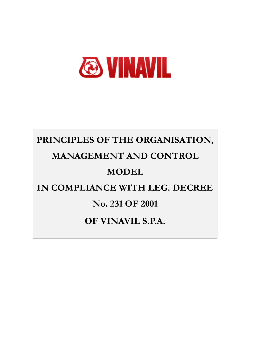

# <span id="page-0-2"></span><span id="page-0-1"></span><span id="page-0-0"></span>**PRINCIPLES OF THE ORGANISATION, MANAGEMENT AND CONTROL MODEL IN COMPLIANCE WITH LEG. DECREE No. 231 OF 2001 OF VINAVIL S.P.A.**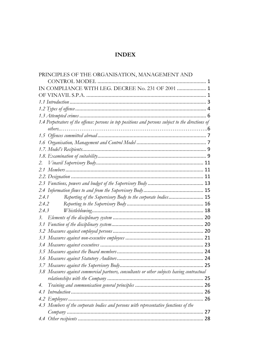# **INDEX**

| PRINCIPLES OF THE ORGANISATION, MANAGEMENT AND                                                     |  |
|----------------------------------------------------------------------------------------------------|--|
|                                                                                                    |  |
| IN COMPLIANCE WITH LEG. DECREE No. 231 OF 2001  1                                                  |  |
|                                                                                                    |  |
|                                                                                                    |  |
|                                                                                                    |  |
|                                                                                                    |  |
| 1.4 Perpetrators of the offence: persons in top positions and persons subject to the directions of |  |
|                                                                                                    |  |
|                                                                                                    |  |
|                                                                                                    |  |
|                                                                                                    |  |
|                                                                                                    |  |
| 2.                                                                                                 |  |
|                                                                                                    |  |
|                                                                                                    |  |
|                                                                                                    |  |
|                                                                                                    |  |
| Reporting of the Supervisory Body to the corporate bodies 15<br>2.4.1                              |  |
| 2.4.2                                                                                              |  |
| 2.4.3                                                                                              |  |
| 3.                                                                                                 |  |
|                                                                                                    |  |
|                                                                                                    |  |
|                                                                                                    |  |
|                                                                                                    |  |
|                                                                                                    |  |
|                                                                                                    |  |
|                                                                                                    |  |
| 3.8 Measures against commercial partners, consultants or other subjects having contractual         |  |
|                                                                                                    |  |
| 4.                                                                                                 |  |
|                                                                                                    |  |
|                                                                                                    |  |
| 4.3 Members of the corporate bodies and persons with representative functions of the               |  |
|                                                                                                    |  |
|                                                                                                    |  |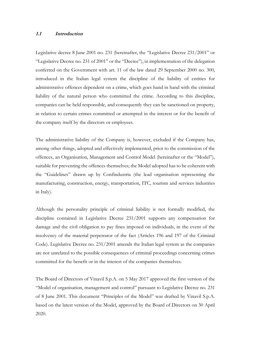## <span id="page-2-0"></span>**1.1 Introduction**

Legislative decree 8 June 2001 no. 231 (hereinafter, the "Legislative Decree 231/2001" or "Legislative Decree no. 231 of 2001" or the "Decree"), in implementation of the delegation conferred on the Government with art. 11 of the law dated 29 September 2000 no. 300, introduced in the Italian legal system the discipline of the liability of entities for administrative offences dependent on a crime, which goes hand in hand with the criminal liability of the natural person who committed the crime. According to this discipline, companies can be held responsible, and consequently they can be sanctioned on property, in relation to certain crimes committed or attempted in the interest or for the benefit of the company itself by the directors or employees.

The administrative liability of the Company is, however, excluded if the Company has, among other things, adopted and effectively implemented, prior to the commission of the offences, an Organisation, Management and Control Model (hereinafter or the "Model"), suitable for preventing the offences themselves; the Model adopted has to be coherent with the "Guidelines" drawn up by Confindustria (the lead organisation representing the manufacturing, construction, energy, transportation, ITC, tourism and services industries in Italy).

Although the personality principle of criminal liability is not formally modified, the discipline contained in Legislative Decree 231/2001 supports any compensation for damage and the civil obligation to pay fines imposed on individuals, in the event of the insolvency of the material perpetrator of the fact (Articles 196 and 197 of the Criminal Code). Legislative Decree no. 231/2001 amends the Italian legal system as the companies are not unrelated to the possible consequences of criminal proceedings concerning crimes committed for the benefit or in the interest of the companies themselves.

The Board of Directors of Vinavil S.p.A. on 5 May 2017 approved the first version of the "Model of organisation, management and control" pursuant to Legislative Decree no. 231 of 8 June 2001. This document "Principles of the Model" was drafted by Vinavil S.p.A. based on the latest version of the Model, approved by the Board of Directors on 30 April 2020.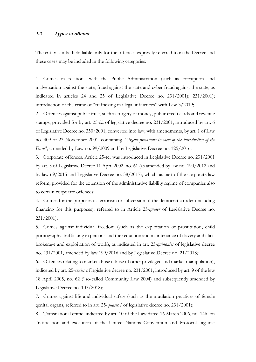#### <span id="page-3-0"></span>**1.2 Types of offence**

The entity can be held liable only for the offences expressly referred to in the Decree and these cases may be included in the following categories:

1. Crimes in relations with the Public Administration (such as corruption and malversation against the state, fraud against the state and cyber fraud against the state, as indicated in articles 24 and 25 of Legislative Decree no. 231/2001); 231/2001); introduction of the crime of "trafficking in illegal influences" with Law 3/2019;

2. Offences against public trust, such as forgery of money, public credit cards and revenue stamps, provided for by art. 25*-bis* of legislative decree no. 231/2001, introduced by art. 6 of Legislative Decree no. 350/2001, converted into law, with amendments, by art. 1 of Law no. 409 of 23 November 2001, containing "*Urgent provisions in view of the introduction of the Euro*", amended by Law no. 99/2009 and by Legislative Decree no. 125/2016;

3. Corporate offences. Article 25-ter was introduced in Legislative Decree no. 231/2001 by art. 3 of Legislative Decree 11 April 2002, no. 61 (as amended by law no. 190/2012 and by law 69/2015 and Legislative Decree no. 38/2017), which, as part of the corporate law reform, provided for the extension of the administrative liability regime of companies also to certain corporate offences;

4. Crimes for the purposes of terrorism or subversion of the democratic order (including financing for this purposes), referred to in Article 25*-quater* of Legislative Decree no. 231/2001);

5. Crimes against individual freedom (such as the exploitation of prostitution, child pornography, trafficking in persons and the reduction and maintenance of slavery and illicit brokerage and exploitation of work), as indicated in art. 25*-quinquies* of legislative decree no. 231/2001, amended by law 199/2016 and by Legislative Decree no. 21/2018);

6. Offences relating to market abuse (abuse of other privileged and market manipulation), indicated by art. 25-*sexies* of legislative decree no. 231/2001, introduced by art. 9 of the law 18 April 2005, no. 62 ("so-called Community Law 2004) and subsequently amended by Legislative Decree no. 107/2018);

7. Crimes against life and individual safety (such as the mutilation practices of female genital organs, referred to in art. 25-*quater.1* of legislative decree no. 231/2001);

8. Transnational crime, indicated by art. 10 of the Law dated 16 March 2006, no. 146, on "ratification and execution of the United Nations Convention and Protocols against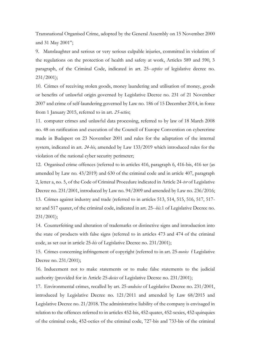Transnational Organised Crime, adopted by the General Assembly on 15 November 2000 and 31 May 2001";

9. Manslaughter and serious or very serious culpable injuries, committed in violation of the regulations on the protection of health and safety at work, Articles 589 and 590, 3 paragraph, of the Criminal Code, indicated in art. 25-*-septies* of legislative decree no. 231/2001);

10. Crimes of receiving stolen goods, money laundering and utilisation of money, goods or benefits of unlawful origin governed by Legislative Decree no. 231 of 21 November 2007 and crime of self-laundering governed by Law no. 186 of 15 December 2014, in force from 1 January 2015, referred to in art. *25-octies*;

11. computer crimes and unlawful data processing, referred to by law of 18 March 2008 no. 48 on ratification and execution of the Council of Europe Convention on cybercrime made in Budapest on 23 November 2001 and rules for the adaptation of the internal system, indicated in art. *24-bis,* amended by Law 133/2019 which introduced rules for the violation of the national cyber security perimeter;

12. Organised crime offences (referred to in articles 416, paragraph 6, 416-bis, 416 ter (as amended by Law no. 43/2019) and 630 of the criminal code and in article 407, paragraph 2, letter a, no. 5, of the Code of Criminal Procedure indicated in Article 24-*ter* of Legislative Decree no. 231/2001, introduced by Law no. 94/2009 and amended by Law no. 236/2016; 13. Crimes against industry and trade (referred to in articles 513, 514, 515, 516, 517, 517 ter and 517 quater, of the criminal code, indicated in art. 25-*-bis.*1 of Legislative Decree no. 231/2001);

14. Counterfeiting and alteration of trademarks or distinctive signs and introduction into the state of products with false signs (referred to in articles 473 and 474 of the criminal code, as set out in article 25*-bis* of Legislative Decree no. 231/2001);

15. Crimes concerning infringement of copyright (referred to in art. 25*-novies* f Legislative Decree no. 231/2001);

16. Inducement not to make statements or to make false statements to the judicial authority (provided for in Article 25*-decies* of Legislative Decree no. 231/2001);

17. Environmental crimes, recalled by art. 25-*undecies* of Legislative Decree no. 231/2001, introduced by Legislative Decree no. 121/2011 and amended by Law 68/2015 and Legislative Decree no. 21/2018. The administrative liability of the company is envisaged in relation to the offences referred to in articles 452-bis, 452-quater, 452-sexies, 452-quinquies of the criminal code, 452-octies of the criminal code, 727-bis and 733-bis of the criminal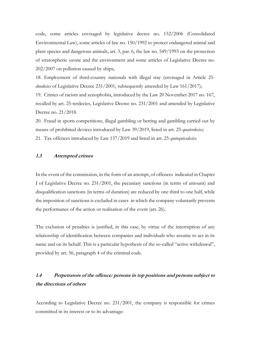code, some articles envisaged by legislative decree no. 152/2006 (Consolidated Environmental Law), some articles of law no. 150/1992 to protect endangered animal and plant species and dangerous animals, art. 3, par. 6, the law no. 549/1993 on the protection of stratospheric ozone and the environment and some articles of Legislative Decree no. 202/2007 on pollution caused by ships;

18. Employment of third-country nationals with illegal stay (envisaged in Article 25 *duodecies* of Legislative Decree 231/2001, subsequently amended by Law 161/2017);

19. Crimes of racism and xenophobia, introduced by the Law 20 November 2017 no. 167, recalled by art. 25-terdecies, Legislative Decree no. 231/2001 and amended by Legislative Decree no. 21/2018.

20. Fraud in sports competitions, illegal gambling or betting and gambling carried out by means of prohibited devices introduced by Law 39/2019, listed in art. 25-*quaterdecies;* 21. Tax offences introduced by Law 157/2019 and listed in art. 25-*quinquiesdecies.*

#### <span id="page-5-0"></span>**1.3 Attempted crimes**

In the event of the commission, in the form of an attempt, of offences indicated in Chapter I of Legislative Decree no. 231/2001, the pecuniary sanctions (in terms of amount) and disqualification sanctions (in terms of duration) are reduced by one third to one half, while the imposition of sanctions is excluded in cases in which the company voluntarily prevents the performance of the action or realisation of the event (art. 26).

The exclusion of penalties is justified, in this case, by virtue of the interruption of any relationship of identification between companies and individuals who assume to act in its name and on its behalf. This is a particular hypothesis of the so-called "active withdrawal", provided by art. 56, paragraph 4 of the criminal code.

# <span id="page-5-1"></span>**1.4 Perpetrators of the offence: persons in top positions and persons subject to the directions of others**

According to Legislative Decree no. 231/2001, the company is responsible for crimes committed in its interest or to its advantage: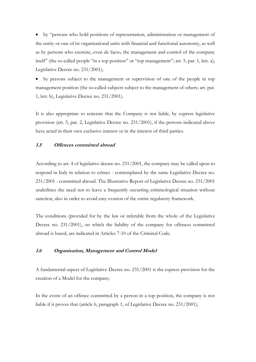• by "persons who hold positions of representation, administration or management of the entity or one of its organisational units with financial and functional autonomy, as well as by persons who exercise, even de facto, the management and control of the company itself" (the so-called people "in a top position" or "top management"; art. 5, par. 1, lett. a), Legislative Decree no. 231/2001);

• by persons subject to the management or supervision of one of the people in top management position (the so-called subjects subject to the management of others; art. par. 1, lett. b), Legislative Decree no. 231/2001).

It is also appropriate to reiterate that the Company is not liable, by express legislative provision (art. 5, par. 2, Legislative Decree no. 231/2001), if the persons indicated above have acted in their own exclusive interest or in the interest of third parties.

## <span id="page-6-0"></span>**1.5 Offences committed abroad**

According to art. 4 of legislative decree no. 231/2001, the company may be called upon to respond in Italy in relation to crimes - contemplated by the same Legislative Decree no. 231/2001 - committed abroad. The Illustrative Report of Legislative Decree no. 231/2001 underlines the need not to leave a frequently occurring criminological situation without sanction, also in order to avoid easy evasion of the entire regulatory framework.

The conditions (provided for by the law or inferable from the whole of the Legislative Decree no. 231/2001), on which the liability of the company for offences committed abroad is based, are indicated in Articles 7-10 of the Criminal Code.

#### <span id="page-6-1"></span>**1.6 Organisation, Management and Control Model**

A fundamental aspect of Legislative Decree no. 231/2001 is the express provision for the creation of a Model for the company.

In the event of an offence committed by a person in a top position, the company is not liable if it proves that (article 6, paragraph 1, of Legislative Decree no. 231/2001);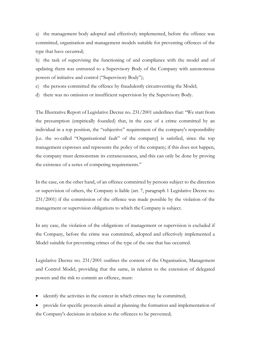a) the management body adopted and effectively implemented, before the offence was committed, organisation and management models suitable for preventing offences of the type that have occurred;

b) the task of supervising the functioning of and compliance with the model and of updating them was entrusted to a Supervisory Body of the Company with autonomous powers of initiative and control ("Supervisory Body");

c) the persons committed the offence by fraudulently circumventing the Model;

d) there was no omission or insufficient supervision by the Supervisory Body.

The Illustrative Report of Legislative Decree no. 231/2001 underlines that: "We start from the presumption (empirically founded) that, in the case of a crime committed by an individual in a top position, the "subjective" requirement of the company's responsibility [i.e. the so-called "Organisational fault" of the company] is satisfied, since the top management expresses and represents the policy of the company; if this does not happen, the company must demonstrate its extraneousness, and this can only be done by proving the existence of a series of competing requirements."

In the case, on the other hand, of an offence committed by persons subject to the direction or supervision of others, the Company is liable (art. 7, paragraph 1 Legislative Decree no. 231/2001) if the commission of the offence was made possible by the violation of the management or supervision obligations to which the Company is subject.

In any case, the violation of the obligations of management or supervision is excluded if the Company, before the crime was committed, adopted and effectively implemented a Model suitable for preventing crimes of the type of the one that has occurred.

Legislative Decree no. 231/2001 outlines the content of the Organisation, Management and Control Model, providing that the same, in relation to the extension of delegated powers and the risk to commit an offence, must:

identify the activities in the context in which crimes may be committed;

• provide for specific protocols aimed at planning the formation and implementation of the Company's decisions in relation to the offences to be prevented;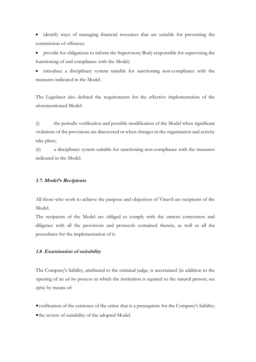• identify ways of managing financial resources that are suitable for preventing the commission of offences;

• provide for obligations to inform the Supervisory Body responsible for supervising the functioning of and compliance with the Model;

• introduce a disciplinary system suitable for sanctioning non-compliance with the measures indicated in the Model.

The Legislator also defined the requirements for the effective implementation of the aforementioned Model:

(i) the periodic verification and possible modification of the Model when significant violations of the provisions are discovered or when changes in the organisation and activity take place;

(ii) a disciplinary system suitable for sanctioning non-compliance with the measures indicated in the Model.

## <span id="page-8-0"></span>**1.7. Model's Recipients**

All those who work to achieve the purpose and objectives of Vinavil are recipients of the Model.

The recipients of the Model are obliged to comply with the utmost correctness and diligence with all the provisions and protocols contained therein, as well as all the procedures for the implementation of it.

# <span id="page-8-1"></span>**1.8. Examination of suitability**

The Company's liability, attributed to the criminal judge, is ascertained (in addition to the opening of an *ad hoc* process in which the institution is equated to the natural person; see *infra*) by means of:

•verification of the existence of the crime that is a prerequisite for the Company's liability; • the review of suitability of the adopted Model.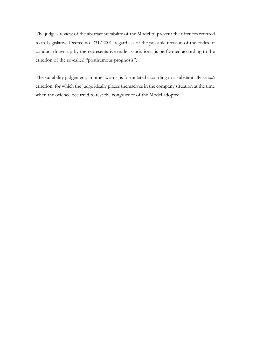The judge's review of the abstract suitability of the Model to prevent the offences referred to in Legislative Decree no. 231/2001, regardless of the possible revision of the codes of conduct drawn up by the representative trade associations, is performed according to the criterion of the so-called "posthumous prognosis".

The suitability judgement, in other words, is formulated according to a substantially *ex ante* criterion, for which the judge ideally places themselves in the company situation at the time when the offence occurred to test the congruence of the Model adopted.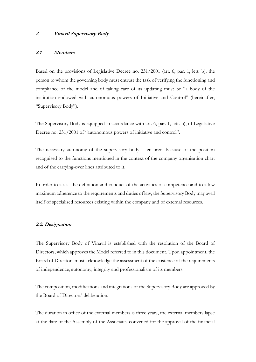#### <span id="page-10-0"></span>**2. Vinavil Supervisory Body**

#### <span id="page-10-1"></span>**2.1 Members**

Based on the provisions of Legislative Decree no. 231/2001 (art. 6, par. 1, lett. b), the person to whom the governing body must entrust the task of verifying the functioning and compliance of the model and of taking care of its updating must be "a body of the institution endowed with autonomous powers of Initiative and Control" (hereinafter, "Supervisory Body").

The Supervisory Body is equipped in accordance with art. 6, par. 1, lett. b), of Legislative Decree no. 231/2001 of "autonomous powers of initiative and control".

The necessary autonomy of the supervisory body is ensured, because of the position recognised to the functions mentioned in the context of the company organisation chart and of the carrying-over lines attributed to it.

In order to assist the definition and conduct of the activities of competence and to allow maximum adherence to the requirements and duties of law, the Supervisory Body may avail itself of specialised resources existing within the company and of external resources.

#### <span id="page-10-2"></span>**2.2. Designation**

The Supervisory Body of Vinavil is established with the resolution of the Board of Directors, which approves the Model referred to in this document. Upon appointment, the Board of Directors must acknowledge the assessment of the existence of the requirements of independence, autonomy, integrity and professionalism of its members.

The composition, modifications and integrations of the Supervisory Body are approved by the Board of Directors' deliberation.

The duration in office of the external members is three years, the external members lapse at the date of the Assembly of the Associates convened for the approval of the financial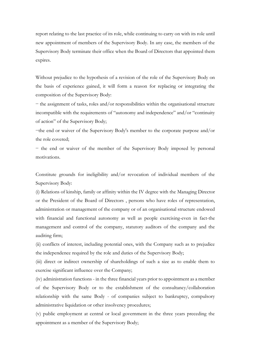report relating to the last practice of its role, while continuing to carry on with its role until new appointment of members of the Supervisory Body. In any case, the members of the Supervisory Body terminate their office when the Board of Directors that appointed them expires.

Without prejudice to the hypothesis of a revision of the role of the Supervisory Body on the basis of experience gained, it will form a reason for replacing or integrating the composition of the Supervisory Body:

− the assignment of tasks, roles and/or responsibilities within the organisational structure incompatible with the requirements of "autonomy and independence" and/or "continuity of action" of the Supervisory Body;

−the end or waiver of the Supervisory Body's member to the corporate purpose and/or the role covered;

− the end or waiver of the member of the Supervisory Body imposed by personal motivations.

Constitute grounds for ineligibility and/or revocation of individual members of the Supervisory Body:

(i) Relations of kinship, family or affinity within the IV degree with the Managing Director or the President of the Board of Directors , persons who have roles of representation, administration or management of the company or of an organisational structure endowed with financial and functional autonomy as well as people exercising-even in fact-the management and control of the company, statutory auditors of the company and the auditing firm;

(ii) conflicts of interest, including potential ones, with the Company such as to prejudice the independence required by the role and duties of the Supervisory Body;

(iii) direct or indirect ownership of shareholdings of such a size as to enable them to exercise significant influence over the Company;

(iv) administration functions - in the three financial years prior to appointment as a member of the Supervisory Body or to the establishment of the consultancy/collaboration relationship with the same Body - of companies subject to bankruptcy, compulsory administrative liquidation or other insolvency procedures;

(v) public employment at central or local government in the three years preceding the appointment as a member of the Supervisory Body;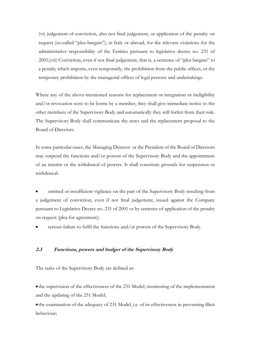(vi) judgement of conviction, also not final judgement, or application of the penalty on request (so-called "plea-bargain"), in Italy or abroad, for the relevant violations for the administrative responsibility of the Entities pursuant to legislative decree no. 231 of 2001;(vii) Conviction, even if not final judgement, that is, a sentence of "plea bargain" to a penalty which imports, even temporarily, the prohibition from the public offices, or the temporary prohibition by the managerial offices of legal persons and undertakings.

Where any of the above-mentioned reasons for replacement or integration or ineligibility and/or revocation were to be borne by a member, they shall give immediate notice to the other members of the Supervisory Body and automatically they will forfeit from their role. The Supervisory Body shall communicate the news and the replacement proposal to the Board of Directors.

In some particular cases, the Managing Director or the President of the Board of Directors may suspend the functions and/or powers of the Supervisory Body and the appointment of an interim or the withdrawal of powers. It shall constitute grounds for suspension or withdrawal:

• omitted or insufficient vigilance on the part of the Supervisory Body resulting from a judgement of conviction, even if not final judgement, issued against the Company pursuant to Legislative Decree no. 231 of 2001 or by sentence of application of the penalty on request (plea for agreement);

• serious failure to fulfil the functions and/or powers of the Supervisory Body.

# <span id="page-12-0"></span>**2.3 Functions, powers and budget of the Supervisory Body**

The tasks of the Supervisory Body are defined as:

• the supervision of the effectiveness of the 231 Model; monitoring of the implementation and the updating of the 231 Model;

• the examination of the adequacy of 231 Model, i.e. of its effectiveness in preventing illicit behaviour;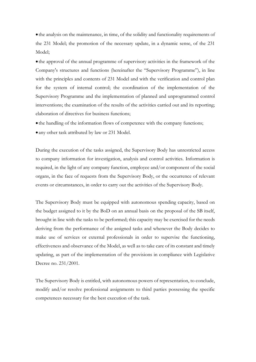• the analysis on the maintenance, in time, of the solidity and functionality requirements of the 231 Model; the promotion of the necessary update, in a dynamic sense, of the 231 Model;

• the approval of the annual programme of supervisory activities in the framework of the Company's structures and functions (hereinafter the "Supervisory Programme"), in line with the principles and contents of 231 Model and with the verification and control plan for the system of internal control; the coordination of the implementation of the Supervisory Programme and the implementation of planned and unprogrammed control interventions; the examination of the results of the activities carried out and its reporting; elaboration of directives for business functions;

• the handling of the information flows of competence with the company functions;

• any other task attributed by law or 231 Model.

During the execution of the tasks assigned, the Supervisory Body has unrestricted access to company information for investigation, analysis and control activities. Information is required, in the light of any company function, employee and/or component of the social organs, in the face of requests from the Supervisory Body, or the occurrence of relevant events or circumstances, in order to carry out the activities of the Supervisory Body.

The Supervisory Body must be equipped with autonomous spending capacity, based on the budget assigned to it by the BoD on an annual basis on the proposal of the SB itself, brought in line with the tasks to be performed; this capacity may be exercised for the needs deriving from the performance of the assigned tasks and whenever the Body decides to make use of services or external professionals in order to supervise the functioning, effectiveness and observance of the Model, as well as to take care of its constant and timely updating, as part of the implementation of the provisions in compliance with Legislative Decree no. 231/2001.

The Supervisory Body is entitled, with autonomous powers of representation, to conclude, modify and/or resolve professional assignments to third parties possessing the specific competences necessary for the best execution of the task.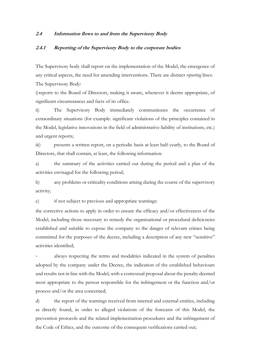#### <span id="page-14-0"></span>**2.4 Information flows to and from the Supervisory Body**

## <span id="page-14-1"></span>**2.4.1 Reporting of the Supervisory Body to the corporate bodies**

The Supervisory body shall report on the implementation of the Model, the emergence of any critical aspects, the need for amending interventions. There are distinct *reporting* lines: The Supervisory Body:

i)reports to the Board of Directors, making it aware, whenever it deems appropriate, of significant circumstances and facts of its office.

ii) The Supervisory Body immediately communicates the occurrence of extraordinary situations (for example: significant violations of the principles contained in the Model, legislative innovations in the field of administrative liability of institutions, etc.) and urgent reports;

iii) presents a written report, on a periodic basis at least half-yearly, to the Board of Directors, that shall contain, at least, the following information:

a) the summary of the activities carried out during the period and a plan of the activities envisaged for the following period;

b) any problems or criticality conditions arising during the course of the supervisory activity;

c) if not subject to previous and appropriate warnings:

the corrective actions to apply in order to ensure the efficacy and/or effectiveness of the Model, including those necessary to remedy the organisational or procedural deficiencies established and suitable to expose the company to the danger of relevant crimes being committed for the purposes of the decree, including a description of any new "sensitive" activities identified;

always respecting the terms and modalities indicated in the system of penalties adopted by the company under the Decree, the indication of the established behaviours and results not in line with the Model, with a contextual proposal about the penalty deemed most appropriate to the person responsible for the infringement or the function and/or process and/or the area concerned;

d) the report of the warnings received from internal and external entities, including as directly found, in order to alleged violations of the forecasts of this Model, the prevention protocols and the related implementation procedures and the infringement of the Code of Ethics, and the outcome of the consequent verifications carried out;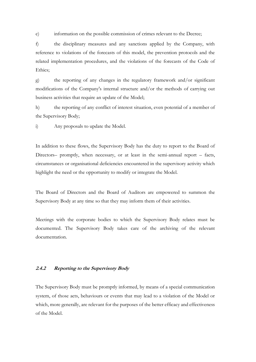e) information on the possible commission of crimes relevant to the Decree;

f) the disciplinary measures and any sanctions applied by the Company, with reference to violations of the forecasts of this model, the prevention protocols and the related implementation procedures, and the violations of the forecasts of the Code of Ethics;

g) the reporting of any changes in the regulatory framework and/or significant modifications of the Company's internal structure and/or the methods of carrying out business activities that require an update of the Model;

h) the reporting of any conflict of interest situation, even potential of a member of the Supervisory Body;

i) Any proposals to update the Model.

In addition to these flows, the Supervisory Body has the duty to report to the Board of Directors– promptly, when necessary, or at least in the semi-annual report – facts, circumstances or organisational deficiencies encountered in the supervisory activity which highlight the need or the opportunity to modify or integrate the Model.

The Board of Directors and the Board of Auditors are empowered to summon the Supervisory Body at any time so that they may inform them of their activities.

Meetings with the corporate bodies to which the Supervisory Body relates must be documented. The Supervisory Body takes care of the archiving of the relevant documentation.

## <span id="page-15-0"></span>**2.4.2 Reporting to the Supervisory Body**

The Supervisory Body must be promptly informed, by means of a special communication system, of those acts, behaviours or events that may lead to a violation of the Model or which, more generally, are relevant for the purposes of the better efficacy and effectiveness of the Model.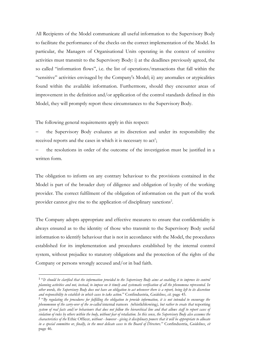All Recipients of the Model communicate all useful information to the Supervisory Body to facilitate the performance of the checks on the correct implementation of the Model. In particular, the Managers of Organisational Units operating in the context of sensitive activities must transmit to the Supervisory Body: i) at the deadlines previously agreed, the so called "information flows", i.e. the list of operations/transactions that fall within the "sensitive" activities envisaged by the Company's Model; ii) any anomalies or atypicalities found within the available information. Furthermore, should they encounter areas of improvement in the definition and/or application of the control standards defined in this Model, they will promptly report these circumstances to the Supervisory Body.

The following general requirements apply in this respect:

the Supervisory Body evaluates at its discretion and under its responsibility the received reports and the cases in which it is necessary to act<sup>1</sup>;

the resolutions in order of the outcome of the investigation must be justified in a written form.

The obligation to inform on any contrary behaviour to the provisions contained in the Model is part of the broader duty of diligence and obligation of loyalty of the working provider. The correct fulfilment of the obligation of information on the part of the work provider cannot give rise to the application of disciplinary sanctions<sup>2</sup>.

The Company adopts appropriate and effective measures to ensure that confidentiality is always ensured as to the identity of those who transmit to the Supervisory Body useful information to identify behaviour that is not in accordance with the Model, the procedures established for its implementation and procedures established by the internal control system, without prejudice to statutory obligations and the protection of the rights of the Company or persons wrongly accused and/or in bad faith.

<sup>&</sup>lt;sup>1</sup> "It should be clarified that the information provided to the Supervisory Body aims at enabling it to improve its control *planning activities and not, instead, to impose on it timely and systematic verification of all the phenomena represented. In other words, the Supervisory Body does not have an obligation to act whenever there is a report, being left to its discretion and responsibility to establish in which cases to take action.*" Confindustria, *Guidelines*, *cit.* page 45.

<sup>2</sup> "*By regulating the procedures for fulfilling the obligation to provide information, it is not intended to encourage the phenomenon of the carry-over of the so-called* internal rumors *(*whistleblowing*), but rather to create that* reporting *system of real facts and/or behaviours that does not follow the hierarchical line and that allows staff to report cases of violation of rules by others within the body, without fear of retaliation. In this sense, the Supervisory Body also assumes the characteristics of the* Ethic Officer*, without - however - giving it disciplinary powers that it will be appropriate to allocate in a special committee or, finally, in the most delicate cases to the Board of Directors.*" Confindustria, *Guidelines*, *cit* page 46.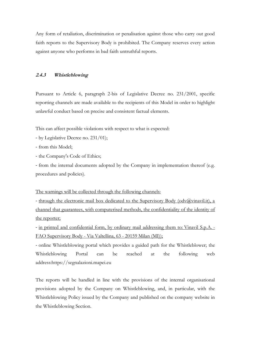Any form of retaliation, discrimination or penalisation against those who carry out good faith reports to the Supervisory Body is prohibited. The Company reserves every action against anyone who performs in bad faith untruthful reports.

## <span id="page-17-0"></span>**2.4.3 Whistleblowing**

Pursuant to Article 6, paragraph 2-bis of Legislative Decree no. 231/2001, specific reporting channels are made available to the recipients of this Model in order to highlight unlawful conduct based on precise and consistent factual elements.

This can affect possible violations with respect to what is expected:

- by Legislative Decree no. 231/01);
- from this Model;
- the Company's Code of Ethics;

- from the internal documents adopted by the Company in implementation thereof (e.g. procedures and policies).

The warnings will be collected through the following channels:

- through the electronic mail box dedicated to the Supervisory Body (odv@vinavil.it), a channel that guarantees, with computerised methods, the confidentiality of the identity of the reporter;

- in printed and confidential form, by ordinary mail addressing them to: Vinavil S.p.A. - FAO Supervisory Body - Via Valtellina, 63 - 20159 Milan (MI));

- online Whistleblowing portal which provides a guided path for the Whistleblower; the Whistleblowing Portal can be reached at the following web address:https://segnalazioni.mapei.eu

The reports will be handled in line with the provisions of the internal organisational provisions adopted by the Company on Whistleblowing, and, in particular, with the Whistleblowing Policy issued by the Company and published on the company website in the Whistleblowing Section.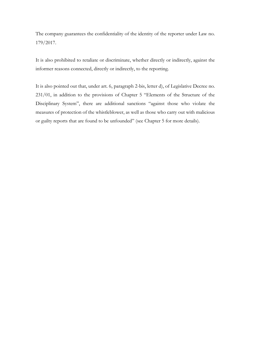The company guarantees the confidentiality of the identity of the reporter under Law no. 179/2017.

It is also prohibited to retaliate or discriminate, whether directly or indirectly, against the informer reasons connected, directly or indirectly, to the reporting.

It is also pointed out that, under art. 6, paragraph 2-bis, letter d), of Legislative Decree no. 231/01, in addition to the provisions of Chapter 5 "Elements of the Structure of the Disciplinary System", there are additional sanctions "against those who violate the measures of protection of the whistleblower, as well as those who carry out with malicious or guilty reports that are found to be unfounded" (see Chapter 5 for more details).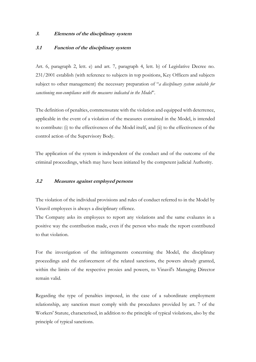#### <span id="page-19-0"></span>**3. Elements of the disciplinary system**

## <span id="page-19-1"></span>**3.1 Function of the disciplinary system**

Art. 6, paragraph 2, lett. e) and art. 7, paragraph 4, lett. b) of Legislative Decree no. 231/2001 establish (with reference to subjects in top positions, Key Officers and subjects subject to other management) the necessary preparation of "*a disciplinary system suitable for sanctioning non-compliance with the measures indicated in the Model*".

The definition of penalties, commensurate with the violation and equipped with deterrence, applicable in the event of a violation of the measures contained in the Model, is intended to contribute: (i) to the effectiveness of the Model itself, and (ii) to the effectiveness of the control action of the Supervisory Body.

The application of the system is independent of the conduct and of the outcome of the criminal proceedings, which may have been initiated by the competent judicial Authority.

## <span id="page-19-2"></span>**3.2 Measures against employed persons**

The violation of the individual provisions and rules of conduct referred to in the Model by Vinavil employees is always a disciplinary offence.

The Company asks its employees to report any violations and the same evaluates in a positive way the contribution made, even if the person who made the report contributed to that violation.

For the investigation of the infringements concerning the Model, the disciplinary proceedings and the enforcement of the related sanctions, the powers already granted, within the limits of the respective proxies and powers, to Vinavil's Managing Director remain valid.

Regarding the type of penalties imposed, in the case of a subordinate employment relationship, any sanction must comply with the procedures provided by art. 7 of the Workers' Statute, characterised, in addition to the principle of typical violations, also by the principle of typical sanctions.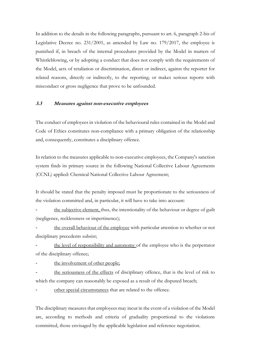In addition to the details in the following paragraphs, pursuant to art. 6, paragraph 2-bis of Legislative Decree no. 231/2001, as amended by Law no. 179/2017, the employee is punished if, in breach of the internal procedures provided by the Model in matters of Whistleblowing, or by adopting a conduct that does not comply with the requirements of the Model, acts of retaliation or discrimination, direct or indirect, against the reporter for related reasons, directly or indirectly, to the reporting; or makes serious reports with misconduct or gross negligence that prove to be unfounded.

# <span id="page-20-0"></span>**3.3 Measures against non-executive employees**

The conduct of employees in violation of the behavioural rules contained in the Model and Code of Ethics constitutes non-compliance with a primary obligation of the relationship and, consequently, constitutes a disciplinary offence.

In relation to the measures applicable to non-executive employees, the Company's sanction system finds its primary source in the following National Collective Labour Agreements (CCNL) applied: Chemical National Collective Labour Agreement;

It should be stated that the penalty imposed must be proportionate to the seriousness of the violation committed and, in particular, it will have to take into account:

the subjective element, thus, the intentionality of the behaviour or degree of guilt (negligence, recklessness or impertinence);

the overall behaviour of the employee with particular attention to whether or not disciplinary precedents subsist;

the level of responsibility and autonomy of the employee who is the perpetrator of the disciplinary offence;

the involvement of other people;

the seriousness of the effects of disciplinary offence, that is the level of risk to which the company can reasonably be exposed as a result of the disputed breach;

other special circumstances that are related to the offence.

The disciplinary measures that employees may incur in the event of a violation of the Model are, according to methods and criteria of graduality proportional to the violations committed, those envisaged by the applicable legislation and reference negotiation.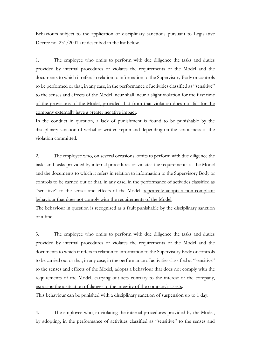Behaviours subject to the application of disciplinary sanctions pursuant to Legislative Decree no. 231/2001 are described in the list below.

1. The employee who omits to perform with due diligence the tasks and duties provided by internal procedures or violates the requirements of the Model and the documents to which it refers in relation to information to the Supervisory Body or controls to be performed or that, in any case, in the performance of activities classified as "sensitive" to the senses and effects of the Model incur shall incur a slight violation for the first time of the provisions of the Model, provided that from that violation does not fall for the company externally have a greater negative impact.

In the conduct in question, a lack of punishment is found to be punishable by the disciplinary sanction of verbal or written reprimand depending on the seriousness of the violation committed.

2. The employee who, on several occasions, omits to perform with due diligence the tasks and tasks provided by internal procedures or violates the requirements of the Model and the documents to which it refers in relation to information to the Supervisory Body or controls to be carried out or that, in any case, in the performance of activities classified as "sensitive" to the senses and effects of the Model, repeatedly adopts a non-compliant behaviour that does not comply with the requirements of the Model.

The behaviour in question is recognised as a fault punishable by the disciplinary sanction of a fine.

3. The employee who omits to perform with due diligence the tasks and duties provided by internal procedures or violates the requirements of the Model and the documents to which it refers in relation to information to the Supervisory Body or controls to be carried out or that, in any case, in the performance of activities classified as "sensitive" to the senses and effects of the Model, adopts a behaviour that does not comply with the requirements of the Model, carrying out acts contrary to the interest of the company, exposing the a situation of danger to the integrity of the company's assets.

This behaviour can be punished with a disciplinary sanction of suspension up to 1 day.

4. The employee who, in violating the internal procedures provided by the Model, by adopting, in the performance of activities classified as "sensitive" to the senses and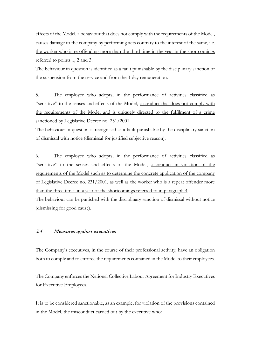effects of the Model, a behaviour that does not comply with the requirements of the Model, causes damage to the company by performing acts contrary to the interest of the same, i.e. the worker who is re-offending more than the third time in the year in the shortcomings referred to points 1, 2 and 3.

The behaviour in question is identified as a fault punishable by the disciplinary sanction of the suspension from the service and from the 3-day remuneration.

5. The employee who adopts, in the performance of activities classified as "sensitive" to the senses and effects of the Model, a conduct that does not comply with the requirements of the Model and is uniquely directed to the fulfilment of a crime sanctioned by Legislative Decree no. 231/2001.

The behaviour in question is recognised as a fault punishable by the disciplinary sanction of dismissal with notice (dismissal for justified subjective reason).

6. The employee who adopts, in the performance of activities classified as "sensitive" to the senses and effects of the Model, a conduct in violation of the requirements of the Model such as to determine the concrete application of the company of Legislative Decree no. 231/2001, as well as the worker who is a repeat offender more than the three times in a year of the shortcomings referred to in paragraph 4.

The behaviour can be punished with the disciplinary sanction of dismissal without notice (dismissing for good cause).

#### <span id="page-22-0"></span>**3.4 Measures against executives**

The Company's executives, in the course of their professional activity, have an obligation both to comply and to enforce the requirements contained in the Model to their employees.

The Company enforces the National Collective Labour Agreement for Industry Executives for Executive Employees.

It is to be considered sanctionable, as an example, for violation of the provisions contained in the Model, the misconduct carried out by the executive who: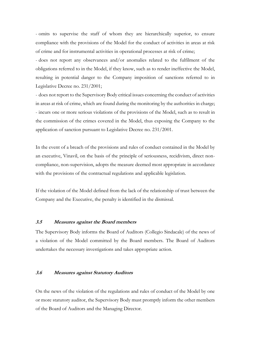- omits to supervise the staff of whom they are hierarchically superior, to ensure compliance with the provisions of the Model for the conduct of activities in areas at risk of crime and for instrumental activities in operational processes at risk of crime;

- does not report any observances and/or anomalies related to the fulfilment of the obligations referred to in the Model, if they know, such as to render ineffective the Model, resulting in potential danger to the Company imposition of sanctions referred to in Legislative Decree no. 231/2001;

- does not report to the Supervisory Body critical issues concerning the conduct of activities in areas at risk of crime, which are found during the monitoring by the authorities in charge; - incurs one or more serious violations of the provisions of the Model, such as to result in the commission of the crimes covered in the Model, thus exposing the Company to the application of sanction pursuant to Legislative Decree no. 231/2001.

In the event of a breach of the provisions and rules of conduct contained in the Model by an executive, Vinavil, on the basis of the principle of seriousness, recidivism, direct noncompliance, non-supervision, adopts the measure deemed most appropriate in accordance with the provisions of the contractual regulations and applicable legislation.

If the violation of the Model defined from the lack of the relationship of trust between the Company and the Executive, the penalty is identified in the dismissal.

## <span id="page-23-0"></span>**3.5 Measures against the Board members**

The Supervisory Body informs the Board of Auditors (Collegio Sindacale) of the news of a violation of the Model committed by the Board members. The Board of Auditors undertakes the necessary investigations and takes appropriate action.

#### <span id="page-23-1"></span>**3.6 Measures against Statutory Auditors**

On the news of the violation of the regulations and rules of conduct of the Model by one or more statutory auditor, the Supervisory Body must promptly inform the other members of the Board of Auditors and the Managing Director.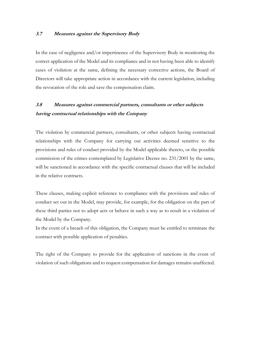#### <span id="page-24-0"></span>**3.7 Measures against the Supervisory Body**

In the case of negligence and/or impertinence of the Supervisory Body in monitoring the correct application of the Model and its compliance and in not having been able to identify cases of violation at the same, defining the necessary corrective actions, the Board of Directors will take appropriate action in accordance with the current legislation, including the revocation of the role and save the compensation claim.

# <span id="page-24-1"></span>**3.8 Measures against commercial partners, consultants or other subjects having contractual relationships with the Company**

The violation by commercial partners, consultants, or other subjects having contractual relationships with the Company for carrying out activities deemed sensitive to the provisions and rules of conduct provided by the Model applicable thereto, or the possible commission of the crimes contemplated by Legislative Decree no. 231/2001 by the same, will be sanctioned in accordance with the specific contractual clauses that will be included in the relative contracts.

These clauses, making explicit reference to compliance with the provisions and rules of conduct set out in the Model, may provide, for example, for the obligation on the part of these third parties not to adopt acts or behave in such a way as to result in a violation of the Model by the Company.

In the event of a breach of this obligation, the Company must be entitled to terminate the contract with possible application of penalties.

The right of the Company to provide for the application of sanctions in the event of violation of such obligations and to request compensation for damages remains unaffected.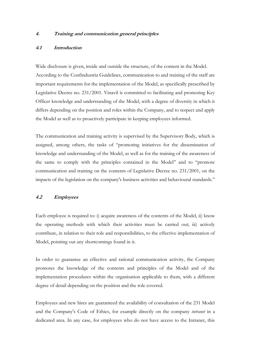#### <span id="page-25-0"></span>**4. Training and communication general principles**

## <span id="page-25-1"></span>**4.1 Introduction**

Wide disclosure is given, inside and outside the structure, of the content in the Model. According to the Confindustria Guidelines, communication to and training of the staff are important requirements for the implementation of the Model, as specifically prescribed by Legislative Decree no. 231/2001. Vinavil is committed to facilitating and promoting Key Officer knowledge and understanding of the Model, with a degree of diversity in which it differs depending on the position and roles within the Company, and to respect and apply the Model as well as to proactively participate in keeping employees informed.

The communication and training activity is supervised by the Supervisory Body, which is assigned, among others, the tasks of "promoting initiatives for the dissemination of knowledge and understanding of the Model, as well as for the training of the awareness of the same to comply with the principles contained in the Model" and to "promote communication and training on the contents of Legislative Decree no. 231/2001, on the impacts of the legislation on the company's business activities and behavioural standards."

#### <span id="page-25-2"></span>**4.2 Employees**

Each employee is required to: i) acquire awareness of the contents of the Model, ii) know the operating methods with which their activities must be carried out; iii) actively contribute, in relation to their role and responsibilities, to the effective implementation of Model, pointing out any shortcomings found in it.

In order to guarantee an effective and rational communication activity, the Company promotes the knowledge of the contents and principles of the Model and of the implementation procedures within the organisation applicable to them, with a different degree of detail depending on the position and the role covered.

Employees and new hires are guaranteed the availability of consultation of the 231 Model and the Company's Code of Ethics, for example directly on the company *intranet* in a dedicated area. In any case, for employees who do not have access to the Intranet, this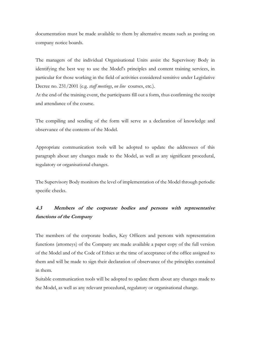documentation must be made available to them by alternative means such as posting on company notice boards.

The managers of the individual Organisational Units assist the Supervisory Body in identifying the best way to use the Model's principles and content training services, in particular for those working in the field of activities considered sensitive under Legislative Decree no. 231/2001 (e.g. *staff meetings*, *on line* courses, etc.).

At the end of the training event, the participants fill out a form, thus confirming the receipt and attendance of the course.

The compiling and sending of the form will serve as a declaration of knowledge and observance of the contents of the Model.

Appropriate communication tools will be adopted to update the addressees of this paragraph about any changes made to the Model, as well as any significant procedural, regulatory or organisational changes.

The Supervisory Body monitors the level of implementation of the Model through periodic specific checks.

# <span id="page-26-0"></span>**4.3 Members of the corporate bodies and persons with representative functions of the Company**

The members of the corporate bodies, Key Officers and persons with representation functions (attorneys) of the Company are made available a paper copy of the full version of the Model and of the Code of Ethics at the time of acceptance of the office assigned to them and will be made to sign their declaration of observance of the principles contained in them.

Suitable communication tools will be adopted to update them about any changes made to the Model, as well as any relevant procedural, regulatory or organisational change.